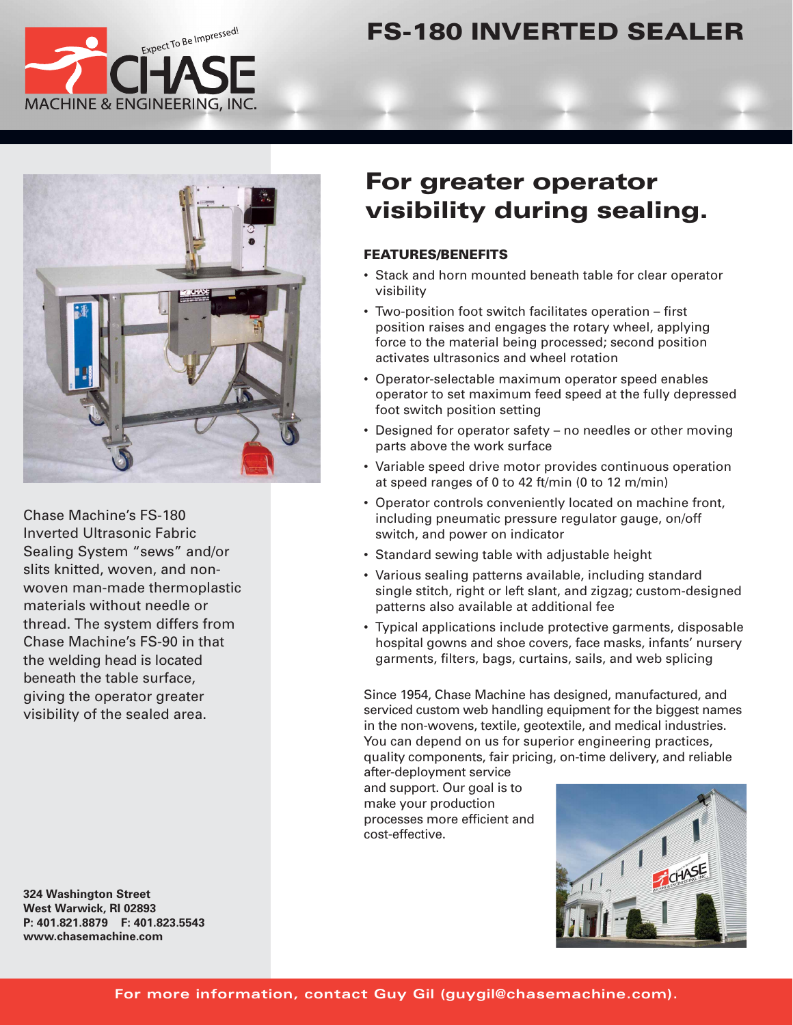

# **FS-180 INVERTED SEALER**



Chase Machine's FS-180 Inverted Ultrasonic Fabric Sealing System "sews" and/or slits knitted, woven, and nonwoven man-made thermoplastic materials without needle or thread. The system differs from Chase Machine's FS-90 in that the welding head is located beneath the table surface, giving the operator greater visibility of the sealed area.

**324 Washington Street West Warwick, RI 02893 P: 401.821.8879 F: 401.823.5543 www.chase machine.com**

# **For greater operator visibility during sealing.**

#### **FEATURES/BENEFITS**

- Stack and horn mounted beneath table for clear operator visibility
- Two-position foot switch facilitates operation first position raises and engages the rotary wheel, applying force to the material being processed; second position activates ultrasonics and wheel rotation
- Operator-selectable maximum operator speed enables operator to set maximum feed speed at the fully depressed foot switch position setting
- Designed for operator safety no needles or other moving parts above the work surface
- Variable speed drive motor provides continuous operation at speed ranges of 0 to 42 ft/min (0 to 12 m/min)
- Operator controls conveniently located on machine front, including pneumatic pressure regulator gauge, on/off switch, and power on indicator
- Standard sewing table with adjustable height
- Various sealing patterns available, including standard single stitch, right or left slant, and zigzag; custom-designed patterns also available at additional fee
- Typical applications include protective garments, disposable hospital gowns and shoe covers, face masks, infants' nursery garments, filters, bags, curtains, sails, and web splicing

Since 1954, Chase Machine has designed, manufactured, and serviced custom web handling equipment for the biggest names in the non-wovens, textile, geotextile, and medical industries. You can depend on us for superior engineering practices, quality components, fair pricing, on-time delivery, and reliable

after-deployment service and support. Our goal is to make your production processes more efficient and cost-effective.